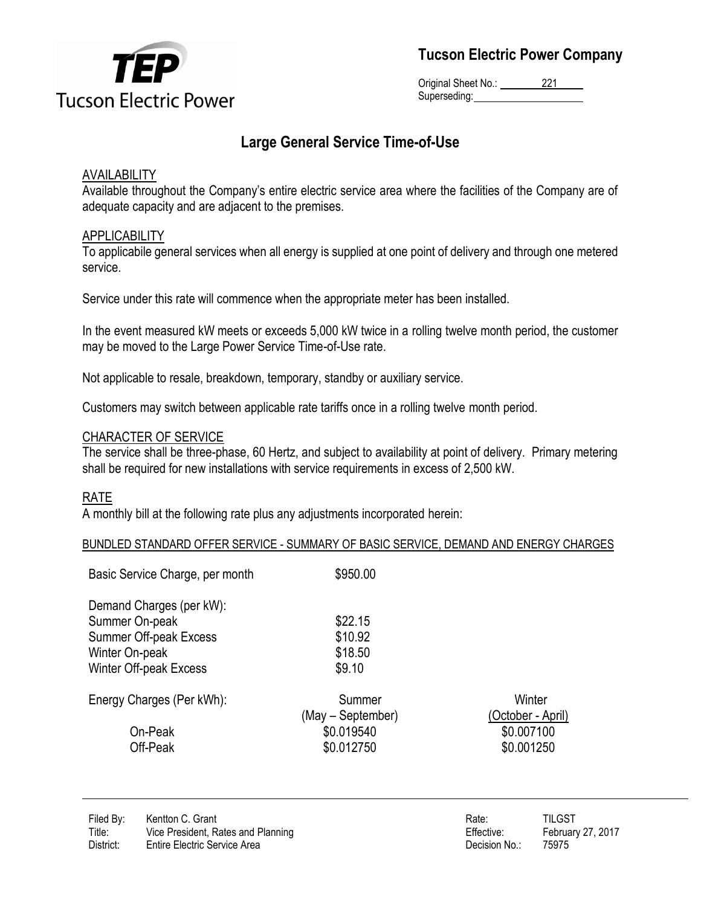

**Tucson Electric Power Company**

Original Sheet No.: 221 Superseding:

## **Large General Service Time-of-Use**

## AVAILABILITY

Available throughout the Company's entire electric service area where the facilities of the Company are of adequate capacity and are adjacent to the premises.

## APPLICABILITY

To applicabile general services when all energy is supplied at one point of delivery and through one metered service.

Service under this rate will commence when the appropriate meter has been installed.

In the event measured kW meets or exceeds 5,000 kW twice in a rolling twelve month period, the customer may be moved to the Large Power Service Time-of-Use rate.

Not applicable to resale, breakdown, temporary, standby or auxiliary service.

Customers may switch between applicable rate tariffs once in a rolling twelve month period.

#### CHARACTER OF SERVICE

The service shall be three-phase, 60 Hertz, and subject to availability at point of delivery. Primary metering shall be required for new installations with service requirements in excess of 2,500 kW.

## RATE

A monthly bill at the following rate plus any adjustments incorporated herein:

#### BUNDLED STANDARD OFFER SERVICE - SUMMARY OF BASIC SERVICE, DEMAND AND ENERGY CHARGES

| Basic Service Charge, per month | \$950.00          |                   |
|---------------------------------|-------------------|-------------------|
| Demand Charges (per kW):        |                   |                   |
| Summer On-peak                  | \$22.15           |                   |
| Summer Off-peak Excess          | \$10.92           |                   |
| Winter On-peak                  | \$18.50           |                   |
| Winter Off-peak Excess          | \$9.10            |                   |
| Energy Charges (Per kWh):       | Summer            | Winter            |
|                                 | (May – September) | (October - April) |
| On-Peak                         | \$0.019540        | \$0.007100        |
| Off-Peak                        | \$0.012750        | \$0.001250        |
|                                 |                   |                   |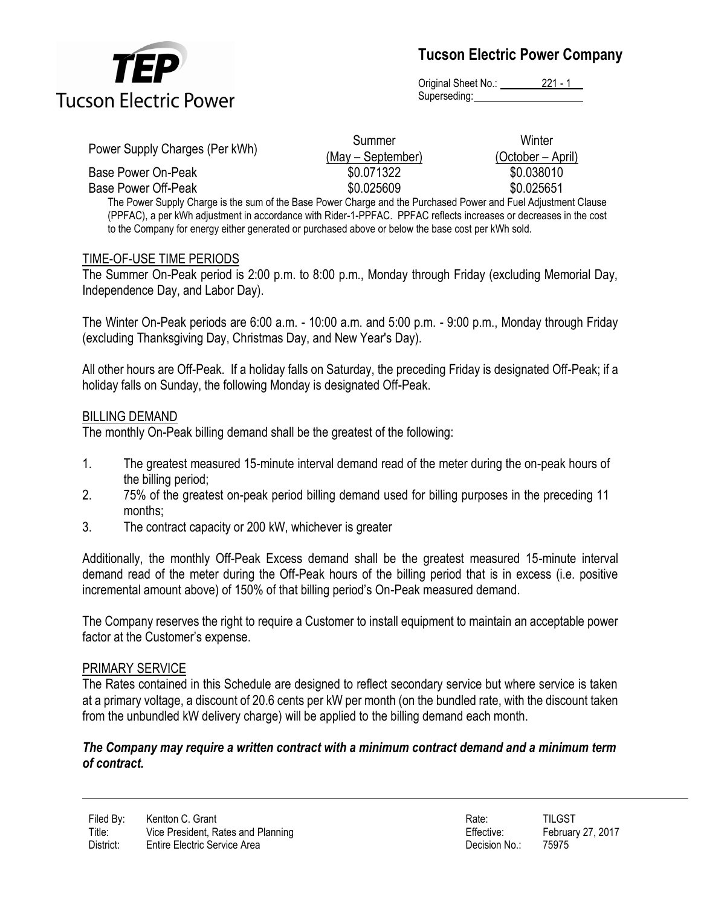

**Tucson Electric Power Company**

Original Sheet No.: 221 - 1 Superseding:

| Power Supply Charges (Per kWh)                                                                                 | Summer            | Winter            |
|----------------------------------------------------------------------------------------------------------------|-------------------|-------------------|
|                                                                                                                | (May – September) | (October – April) |
| Base Power On-Peak                                                                                             | \$0.071322        | \$0.038010        |
| Base Power Off-Peak                                                                                            | \$0.025609        | \$0.025651        |
| The Power Supply Charge is the sum of the Base Power Charge and the Purchased Power and Fuel Adjustment Clause |                   |                   |

(PPFAC), a per kWh adjustment in accordance with Rider-1-PPFAC. PPFAC reflects increases or decreases in the cost to the Company for energy either generated or purchased above or below the base cost per kWh sold.

## TIME-OF-USE TIME PERIODS

The Summer On-Peak period is 2:00 p.m. to 8:00 p.m., Monday through Friday (excluding Memorial Day, Independence Day, and Labor Day).

The Winter On-Peak periods are 6:00 a.m. - 10:00 a.m. and 5:00 p.m. - 9:00 p.m., Monday through Friday (excluding Thanksgiving Day, Christmas Day, and New Year's Day).

All other hours are Off-Peak. If a holiday falls on Saturday, the preceding Friday is designated Off-Peak; if a holiday falls on Sunday, the following Monday is designated Off-Peak.

## BILLING DEMAND

The monthly On-Peak billing demand shall be the greatest of the following:

- 1. The greatest measured 15-minute interval demand read of the meter during the on-peak hours of the billing period;
- 2. 75% of the greatest on-peak period billing demand used for billing purposes in the preceding 11 months;
- 3. The contract capacity or 200 kW, whichever is greater

Additionally, the monthly Off-Peak Excess demand shall be the greatest measured 15-minute interval demand read of the meter during the Off-Peak hours of the billing period that is in excess (i.e. positive incremental amount above) of 150% of that billing period's On-Peak measured demand.

The Company reserves the right to require a Customer to install equipment to maintain an acceptable power factor at the Customer's expense.

## PRIMARY SERVICE

The Rates contained in this Schedule are designed to reflect secondary service but where service is taken at a primary voltage, a discount of 20.6 cents per kW per month (on the bundled rate, with the discount taken from the unbundled kW delivery charge) will be applied to the billing demand each month.

#### *The Company may require a written contract with a minimum contract demand and a minimum term of contract.*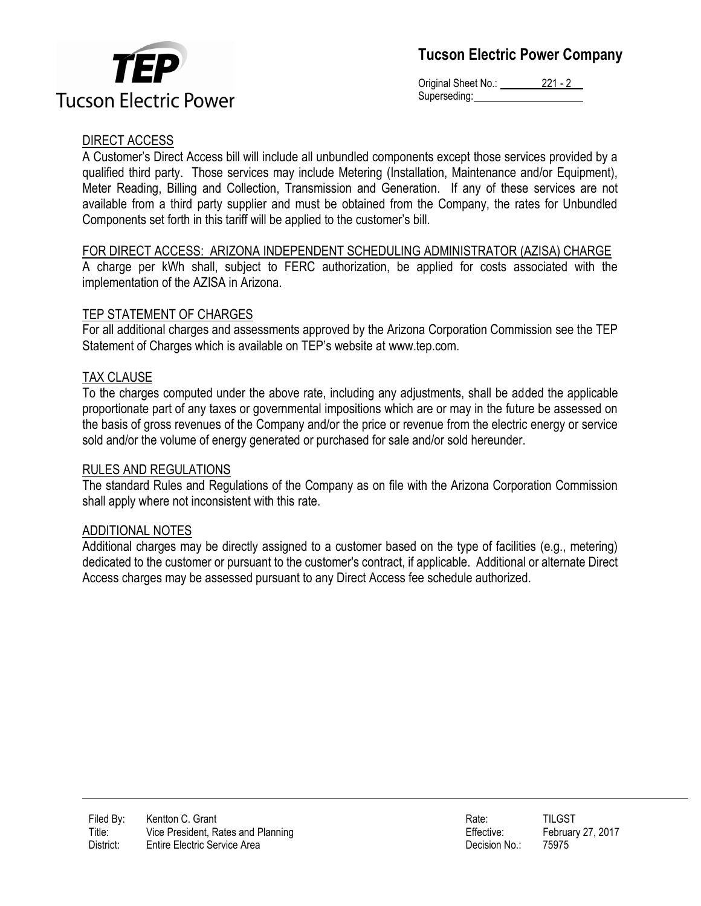



Original Sheet No.: 221 - 2 Superseding:

## DIRECT ACCESS

A Customer's Direct Access bill will include all unbundled components except those services provided by a qualified third party. Those services may include Metering (Installation, Maintenance and/or Equipment), Meter Reading, Billing and Collection, Transmission and Generation. If any of these services are not available from a third party supplier and must be obtained from the Company, the rates for Unbundled Components set forth in this tariff will be applied to the customer's bill.

## FOR DIRECT ACCESS: ARIZONA INDEPENDENT SCHEDULING ADMINISTRATOR (AZISA) CHARGE

A charge per kWh shall, subject to FERC authorization, be applied for costs associated with the implementation of the AZISA in Arizona.

## TEP STATEMENT OF CHARGES

For all additional charges and assessments approved by the Arizona Corporation Commission see the TEP Statement of Charges which is available on TEP's website at www.tep.com.

## TAX CLAUSE

To the charges computed under the above rate, including any adjustments, shall be added the applicable proportionate part of any taxes or governmental impositions which are or may in the future be assessed on the basis of gross revenues of the Company and/or the price or revenue from the electric energy or service sold and/or the volume of energy generated or purchased for sale and/or sold hereunder.

## RULES AND REGULATIONS

The standard Rules and Regulations of the Company as on file with the Arizona Corporation Commission shall apply where not inconsistent with this rate.

## ADDITIONAL NOTES

Additional charges may be directly assigned to a customer based on the type of facilities (e.g., metering) dedicated to the customer or pursuant to the customer's contract, if applicable. Additional or alternate Direct Access charges may be assessed pursuant to any Direct Access fee schedule authorized.